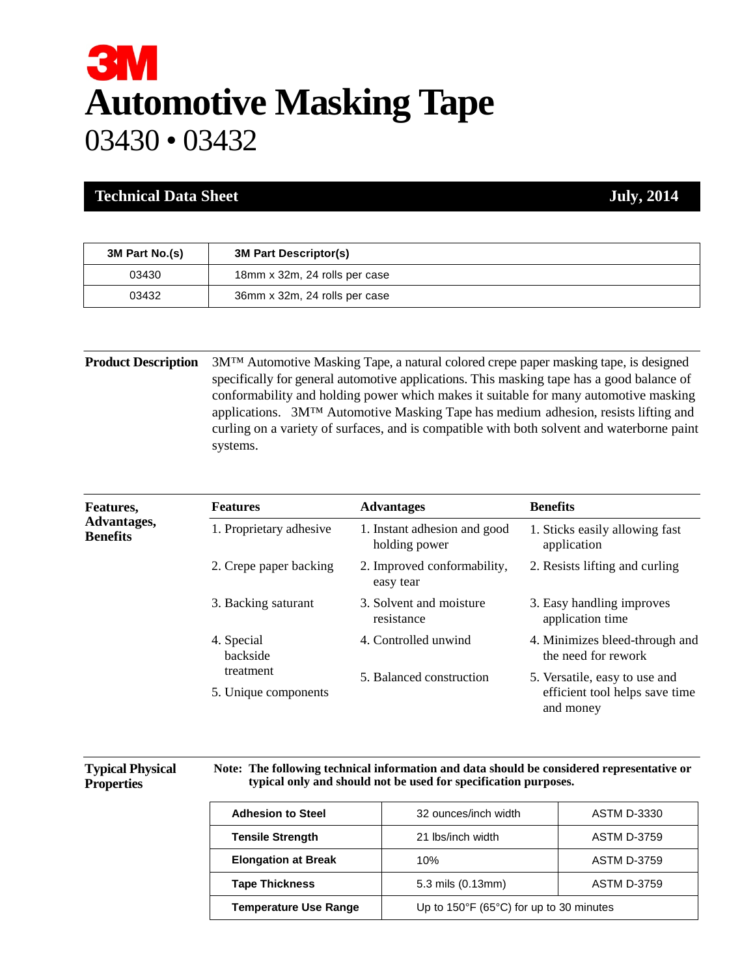# **3M Automotive Masking Tape** 03430 • 03432

#### **Technical Data Sheet July, 2014**

| 3M Part No.(s) | <b>3M Part Descriptor(s)</b>  |
|----------------|-------------------------------|
| 03430          | 18mm x 32m, 24 rolls per case |
| 03432          | 36mm x 32m, 24 rolls per case |

**Product Description** 3M™ Automotive Masking Tape, a natural colored crepe paper masking tape, is designed specifically for general automotive applications. This masking tape has a good balance of conformability and holding power which makes it suitable for many automotive masking applications. 3M™ Automotive Masking Tape has medium adhesion, resists lifting and curling on a variety of surfaces, and is compatible with both solvent and waterborne paint systems.

| Features,<br>Advantages,<br><b>Benefits</b> | <b>Features</b>                   | <b>Advantages</b>                             | <b>Benefits</b>                                                              |
|---------------------------------------------|-----------------------------------|-----------------------------------------------|------------------------------------------------------------------------------|
|                                             | 1. Proprietary adhesive           | 1. Instant adhesion and good<br>holding power | 1. Sticks easily allowing fast<br>application                                |
|                                             | 2. Crepe paper backing            | 2. Improved conformability,<br>easy tear      | 2. Resists lifting and curling                                               |
|                                             | 3. Backing saturant               | 3. Solvent and moisture<br>resistance         | 3. Easy handling improves<br>application time                                |
|                                             | 4. Special<br>backside            | 4. Controlled unwind                          | 4. Minimizes bleed-through and<br>the need for rework                        |
|                                             | treatment<br>5. Unique components | 5. Balanced construction                      | 5. Versatile, easy to use and<br>efficient tool helps save time<br>and money |

#### **Typical Physical Properties**

**Note: The following technical information and data should be considered representative or typical only and should not be used for specification purposes.**

| <b>Adhesion to Steel</b>     | 32 ounces/inch width                                         | <b>ASTM D-3330</b> |
|------------------------------|--------------------------------------------------------------|--------------------|
| <b>Tensile Strength</b>      | 21 Ibs/inch width                                            | <b>ASTM D-3759</b> |
| <b>Elongation at Break</b>   | 10%                                                          | <b>ASTM D-3759</b> |
| <b>Tape Thickness</b>        | 5.3 mils (0.13mm)                                            | <b>ASTM D-3759</b> |
| <b>Temperature Use Range</b> | Up to $150^{\circ}$ F (65 $^{\circ}$ C) for up to 30 minutes |                    |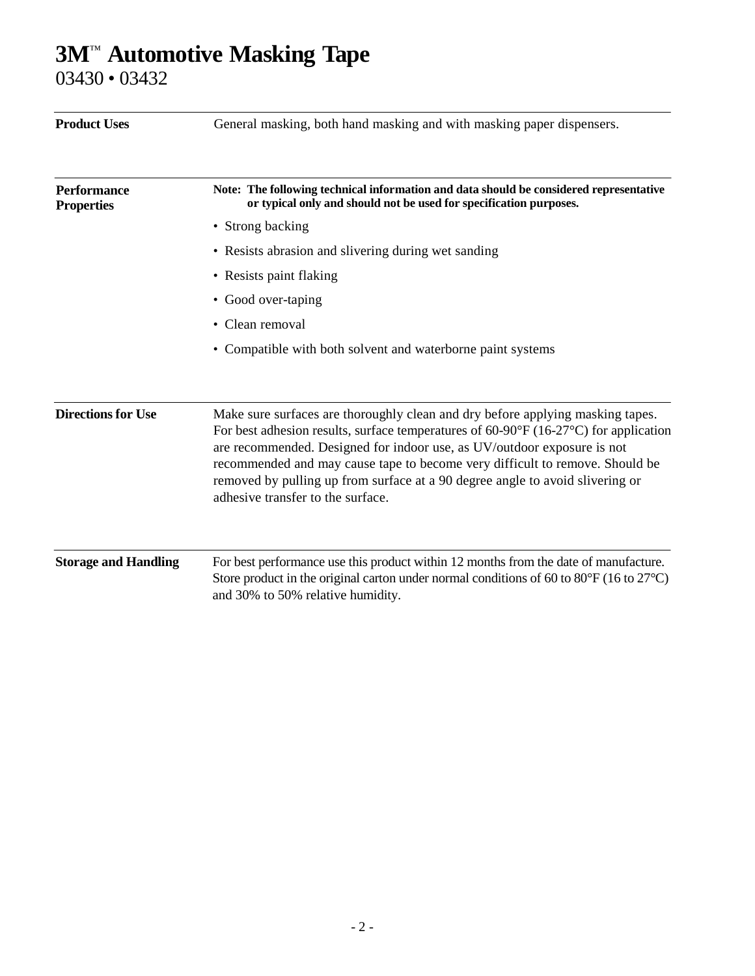## **3M**™ **Automotive Masking Tape**

03430 • 03432

| <b>Product Uses</b>                     | General masking, both hand masking and with masking paper dispensers.                                                                                                                                                                                                                                                                                                                                                                                                   |  |  |
|-----------------------------------------|-------------------------------------------------------------------------------------------------------------------------------------------------------------------------------------------------------------------------------------------------------------------------------------------------------------------------------------------------------------------------------------------------------------------------------------------------------------------------|--|--|
| <b>Performance</b><br><b>Properties</b> | Note: The following technical information and data should be considered representative<br>or typical only and should not be used for specification purposes.                                                                                                                                                                                                                                                                                                            |  |  |
|                                         | • Strong backing                                                                                                                                                                                                                                                                                                                                                                                                                                                        |  |  |
|                                         | • Resists abrasion and slivering during wet sanding                                                                                                                                                                                                                                                                                                                                                                                                                     |  |  |
|                                         | • Resists paint flaking                                                                                                                                                                                                                                                                                                                                                                                                                                                 |  |  |
|                                         | • Good over-taping                                                                                                                                                                                                                                                                                                                                                                                                                                                      |  |  |
|                                         | • Clean removal                                                                                                                                                                                                                                                                                                                                                                                                                                                         |  |  |
|                                         | • Compatible with both solvent and waterborne paint systems                                                                                                                                                                                                                                                                                                                                                                                                             |  |  |
|                                         |                                                                                                                                                                                                                                                                                                                                                                                                                                                                         |  |  |
| <b>Directions for Use</b>               | Make sure surfaces are thoroughly clean and dry before applying masking tapes.<br>For best adhesion results, surface temperatures of $60-90^{\circ}F (16-27^{\circ}C)$ for application<br>are recommended. Designed for indoor use, as UV/outdoor exposure is not<br>recommended and may cause tape to become very difficult to remove. Should be<br>removed by pulling up from surface at a 90 degree angle to avoid slivering or<br>adhesive transfer to the surface. |  |  |
| <b>Storage and Handling</b>             | For best performance use this product within 12 months from the date of manufacture.                                                                                                                                                                                                                                                                                                                                                                                    |  |  |
|                                         | Store product in the original carton under normal conditions of 60 to $80^{\circ}$ F (16 to $27^{\circ}$ C)<br>and 30% to 50% relative humidity.                                                                                                                                                                                                                                                                                                                        |  |  |